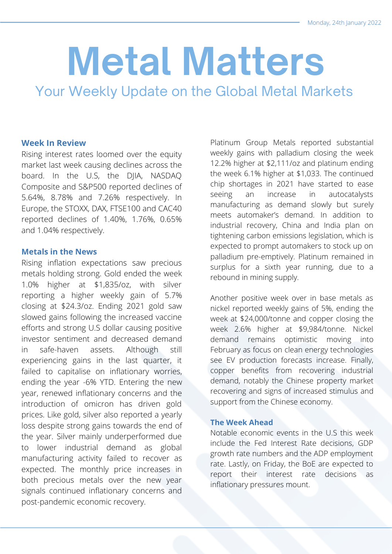# **Metal Matters**

Your Weekly Update on the Global Metal Markets

#### **Week In Review**

Rising interest rates loomed over the equity market last week causing declines across the board. In the U.S, the DJIA, NASDAQ Composite and S&P500 reported declines of 5.64%, 8.78% and 7.26% respectively. In Europe, the STOXX, DAX, FTSE100 and CAC40 reported declines of 1.40%, 1.76%, 0.65% and 1.04% respectively.

#### **Metals in the News**

Rising inflation expectations saw precious metals holding strong. Gold ended the week 1.0% higher at \$1,835/oz, with silver reporting a higher weekly gain of 5.7% closing at \$24.3/oz. Ending 2021 gold saw slowed gains following the increased vaccine efforts and strong U.S dollar causing positive investor sentiment and decreased demand in safe-haven assets. Although still experiencing gains in the last quarter, it failed to capitalise on inflationary worries, ending the year -6% YTD. Entering the new year, renewed inflationary concerns and the introduction of omicron has driven gold prices. Like gold, silver also reported a yearly loss despite strong gains towards the end of the year. Silver mainly underperformed due to lower industrial demand as global manufacturing activity failed to recover as expected. The monthly price increases in both precious metals over the new year signals continued inflationary concerns and post-pandemic economic recovery.

Platinum Group Metals reported substantial weekly gains with palladium closing the week 12.2% higher at \$2,111/oz and platinum ending the week 6.1% higher at \$1,033. The continued chip shortages in 2021 have started to ease seeing an increase in autocatalysts manufacturing as demand slowly but surely meets automaker's demand. In addition to industrial recovery, China and India plan on tightening carbon emissions legislation, which is expected to prompt automakers to stock up on palladium pre-emptively. Platinum remained in surplus for a sixth year running, due to a rebound in mining supply.

Another positive week over in base metals as nickel reported weekly gains of 5%, ending the week at \$24,000/tonne and copper closing the week 2.6% higher at \$9,984/tonne. Nickel demand remains optimistic moving into February as focus on clean energy technologies see EV production forecasts increase. Finally, copper benefits from recovering industrial demand, notably the Chinese property market recovering and signs of increased stimulus and support from the Chinese economy.

#### **The Week Ahead**

Notable economic events in the U.S this week include the Fed Interest Rate decisions, GDP growth rate numbers and the ADP employment rate. Lastly, on Friday, the BoE are expected to report their interest rate decisions as inflationary pressures mount.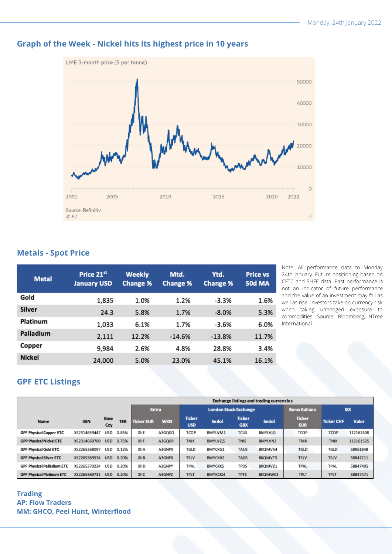

# **Graph of the Week - Nickel hits its highest price in 10 years**

#### **Metals - Spot Price**

| <b>Metal</b>  | Price 21st<br><b>January USD</b> | <b>Weekly</b><br><b>Change %</b> | Mtd.<br><b>Change %</b> | Ytd.<br><b>Change %</b> | <b>Price vs</b><br><b>50d MA</b> |
|---------------|----------------------------------|----------------------------------|-------------------------|-------------------------|----------------------------------|
| Gold          | 1,835                            | 1.0%                             | 1.2%                    | $-3.3%$                 | 1.6%                             |
| Silver        | 24.3                             | 5.8%                             | 1.7%                    | $-8.0%$                 | 5.3%                             |
| Platinum      | 1,033                            | 6.1%                             | 1.7%                    | $-3.6%$                 | 6.0%                             |
| Palladium     | 2,111                            | 12.2%                            | $-14.6%$                | $-13.8%$                | 11.7%                            |
| Copper        | 9,984                            | 2.6%                             | 4.8%                    | 28.8%                   | 3.4%                             |
| <b>Nickel</b> | 24,000                           | 5.0%                             | 23.0%                   | 45.1%                   | 16.1%                            |

Note: All performance data to Monday 24th January. Future positioning based on CFTC and SHFE data. Past performance is not an indicator of future performance and the value of an investment may fall as well as rise. Investors take on currency risk when taking unhedged exposure to commodities. Source: Bloomberg, NTree International

## **GPF ETC Listings**

|                                   |              |                    |            | <b>Exchange listings and trading currencies</b> |            |                              |                |                             |         |                             |                   |           |
|-----------------------------------|--------------|--------------------|------------|-------------------------------------------------|------------|------------------------------|----------------|-----------------------------|---------|-----------------------------|-------------------|-----------|
|                                   |              |                    |            | <b>Xetra</b>                                    |            | <b>London Stock Exchange</b> |                |                             |         | <b>Borsa Italiana</b>       | <b>SIX</b>        |           |
| <b>Name</b>                       | <b>ISIN</b>  | <b>Base</b><br>Ccy | <b>TER</b> | <b>Ticker EUR</b>                               | <b>WKN</b> | <b>Ticker</b><br><b>USD</b>  | Sedol          | <b>Ticker</b><br><b>GBX</b> | Sedol   | <b>Ticker</b><br><b>EUR</b> | <b>Ticker CHF</b> | Valor     |
| <b>GPF Physical Copper ETC</b>    | XS2314659447 | USD                | 0.85%      | OIIE                                            | A3GQ0Q     | TCOP                         | BMYLVM1        | <b>TCUS</b>                 | BMYLVLO | <b>TCOP</b>                 | TCOP              | 112161508 |
| <b>GPP Physical Nickel ETC</b>    | XS2314660700 | <b>USD</b>         | 0.75%      | OIIF                                            | A3GQ0R     | <b>TNIK</b>                  | BMYLVQ5        | <b>TNIS</b>                 | BMYLVN2 | <b>TNIK</b>                 | <b>TNIK</b>       | 112161525 |
| <b>GPF Physical Gold ETC</b>      | XS2265368097 | USD                | 0.12%      | OIIA                                            | A3GNPX     | TGLD                         | BMYCKG1        | TAUS                        | BKQMVS4 | <b>TGLD</b>                 | <b>TGLD</b>       | 58961848  |
| <b>GPF Physical Silver ETC</b>    | XS2265369574 | <b>USD</b>         | 0.20%      | OIIB                                            | A3GNPO     | <b>TSLV</b>                  | BMYCKH2        | <b>TAGS</b>                 | BKQMVT5 | <b>TSLV</b>                 | <b>TSLV</b>       | 58847211  |
| <b>GPF Physical Palladium ETC</b> | XS2265370234 | <b>USD</b>         | 0.20%      | OIID                                            | A3GNPY     | TPAL                         | <b>BMYCKK5</b> | <b>TPDS</b>                 | BKQMVZ1 | <b>TPAL</b>                 | TPAL              | 58847495  |
| <b>GPF Physical Platinum ETC</b>  | XS2265369731 | <b>USD</b>         | 0.20%      | OIIC                                            | A3GNPZ     | <b>TPLT</b>                  | BMYKCKJ4       | <b>TPTS</b>                 | BKQMW03 | <b>TPLT</b>                 | <b>TPLT</b>       | 58847471  |

#### **Trading AP: Flow Traders MM: GHCO, Peel Hunt, Winterflood**